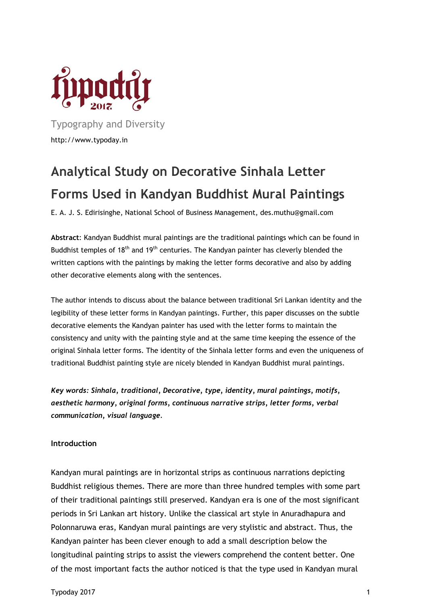

Typography and Diversity http://www.typoday.in

# **Analytical Study on Decorative Sinhala Letter Forms Used in Kandyan Buddhist Mural Paintings**

E. A. J. S. Edirisinghe, National School of Business Management, des.muthu@gmail.com

**Abstract**: Kandyan Buddhist mural paintings are the traditional paintings which can be found in Buddhist temples of 18<sup>th</sup> and 19<sup>th</sup> centuries. The Kandyan painter has cleverly blended the written captions with the paintings by making the letter forms decorative and also by adding other decorative elements along with the sentences.

The author intends to discuss about the balance between traditional Sri Lankan identity and the legibility of these letter forms in Kandyan paintings. Further, this paper discusses on the subtle decorative elements the Kandyan painter has used with the letter forms to maintain the consistency and unity with the painting style and at the same time keeping the essence of the original Sinhala letter forms. The identity of the Sinhala letter forms and even the uniqueness of traditional Buddhist painting style are nicely blended in Kandyan Buddhist mural paintings.

*Key words: Sinhala, traditional, Decorative, type, identity, mural paintings, motifs, aesthetic harmony, original forms, continuous narrative strips, letter forms, verbal communication, visual language.*

#### **Introduction**

Kandyan mural paintings are in horizontal strips as continuous narrations depicting Buddhist religious themes. There are more than three hundred temples with some part of their traditional paintings still preserved. Kandyan era is one of the most significant periods in Sri Lankan art history. Unlike the classical art style in Anuradhapura and Polonnaruwa eras, Kandyan mural paintings are very stylistic and abstract. Thus, the Kandyan painter has been clever enough to add a small description below the longitudinal painting strips to assist the viewers comprehend the content better. One of the most important facts the author noticed is that the type used in Kandyan mural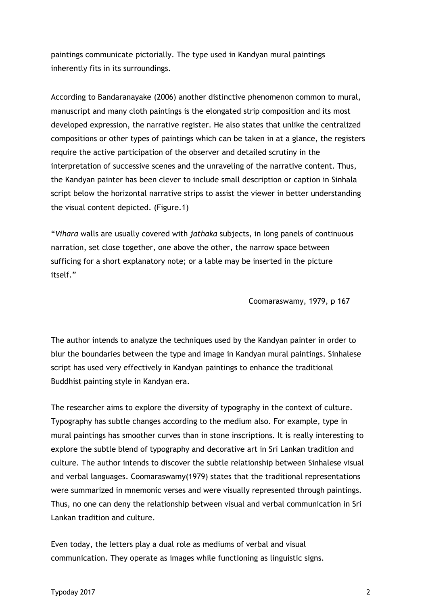paintings communicate pictorially. The type used in Kandyan mural paintings inherently fits in its surroundings.

According to Bandaranayake (2006) another distinctive phenomenon common to mural, manuscript and many cloth paintings is the elongated strip composition and its most developed expression, the narrative register. He also states that unlike the centralized compositions or other types of paintings which can be taken in at a glance, the registers require the active participation of the observer and detailed scrutiny in the interpretation of successive scenes and the unraveling of the narrative content. Thus, the Kandyan painter has been clever to include small description or caption in Sinhala script below the horizontal narrative strips to assist the viewer in better understanding the visual content depicted. (Figure.1)

"*Vihara* walls are usually covered with *jathaka* subjects, in long panels of continuous narration, set close together, one above the other, the narrow space between sufficing for a short explanatory note; or a lable may be inserted in the picture itself."

Coomaraswamy, 1979, p 167

The author intends to analyze the techniques used by the Kandyan painter in order to blur the boundaries between the type and image in Kandyan mural paintings. Sinhalese script has used very effectively in Kandyan paintings to enhance the traditional Buddhist painting style in Kandyan era.

The researcher aims to explore the diversity of typography in the context of culture. Typography has subtle changes according to the medium also. For example, type in mural paintings has smoother curves than in stone inscriptions. It is really interesting to explore the subtle blend of typography and decorative art in Sri Lankan tradition and culture. The author intends to discover the subtle relationship between Sinhalese visual and verbal languages. Coomaraswamy(1979) states that the traditional representations were summarized in mnemonic verses and were visually represented through paintings. Thus, no one can deny the relationship between visual and verbal communication in Sri Lankan tradition and culture.

Even today, the letters play a dual role as mediums of verbal and visual communication. They operate as images while functioning as linguistic signs.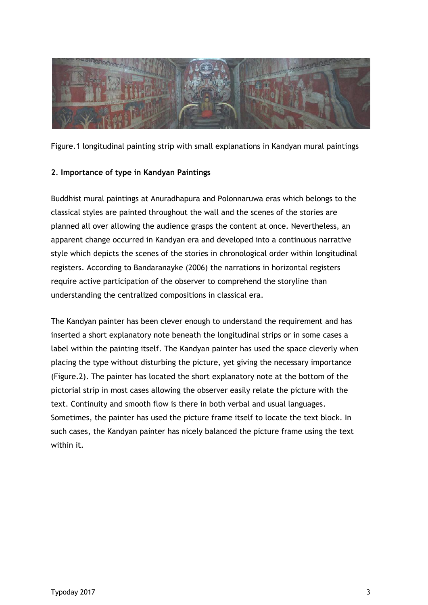

Figure.1 longitudinal painting strip with small explanations in Kandyan mural paintings

#### **2**. **Importance of type in Kandyan Paintings**

Buddhist mural paintings at Anuradhapura and Polonnaruwa eras which belongs to the classical styles are painted throughout the wall and the scenes of the stories are planned all over allowing the audience grasps the content at once. Nevertheless, an apparent change occurred in Kandyan era and developed into a continuous narrative style which depicts the scenes of the stories in chronological order within longitudinal registers. According to Bandaranayke (2006) the narrations in horizontal registers require active participation of the observer to comprehend the storyline than understanding the centralized compositions in classical era.

The Kandyan painter has been clever enough to understand the requirement and has inserted a short explanatory note beneath the longitudinal strips or in some cases a label within the painting itself. The Kandyan painter has used the space cleverly when placing the type without disturbing the picture, yet giving the necessary importance (Figure.2). The painter has located the short explanatory note at the bottom of the pictorial strip in most cases allowing the observer easily relate the picture with the text. Continuity and smooth flow is there in both verbal and usual languages. Sometimes, the painter has used the picture frame itself to locate the text block. In such cases, the Kandyan painter has nicely balanced the picture frame using the text within it.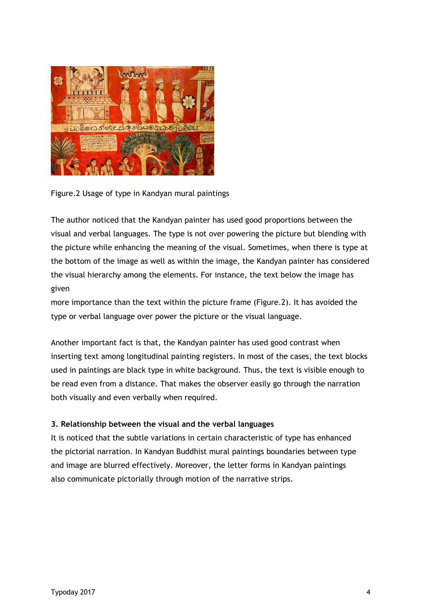

Figure.2 Usage of type in Kandyan mural paintings

The author noticed that the Kandyan painter has used good proportions between the visual and verbal languages. The type is not over powering the picture but blending with the picture while enhancing the meaning of the visual. Sometimes, when there is type at the bottom of the image as well as within the image, the Kandyan painter has considered the visual hierarchy among the elements. For instance, the text below the image has given

more importance than the text within the picture frame (Figure.2). It has avoided the type or verbal language over power the picture or the visual language.

Another important fact is that, the Kandyan painter has used good contrast when inserting text among longitudinal painting registers. In most of the cases, the text blocks used in paintings are black type in white background. Thus, the text is visible enough to be read even from a distance. That makes the observer easily go through the narration both visually and even verbally when required.

# **3. Relationship between the visual and the verbal languages**

It is noticed that the subtle variations in certain characteristic of type has enhanced the pictorial narration. In Kandyan Buddhist mural paintings boundaries between type and image are blurred effectively. Moreover, the letter forms in Kandyan paintings also communicate pictorially through motion of the narrative strips.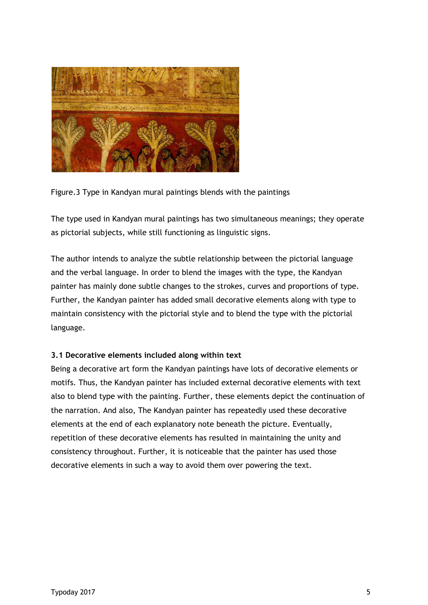

Figure.3 Type in Kandyan mural paintings blends with the paintings

The type used in Kandyan mural paintings has two simultaneous meanings; they operate as pictorial subjects, while still functioning as linguistic signs.

The author intends to analyze the subtle relationship between the pictorial language and the verbal language. In order to blend the images with the type, the Kandyan painter has mainly done subtle changes to the strokes, curves and proportions of type. Further, the Kandyan painter has added small decorative elements along with type to maintain consistency with the pictorial style and to blend the type with the pictorial language.

# **3.1 Decorative elements included along within text**

Being a decorative art form the Kandyan paintings have lots of decorative elements or motifs. Thus, the Kandyan painter has included external decorative elements with text also to blend type with the painting. Further, these elements depict the continuation of the narration. And also, The Kandyan painter has repeatedly used these decorative elements at the end of each explanatory note beneath the picture. Eventually, repetition of these decorative elements has resulted in maintaining the unity and consistency throughout. Further, it is noticeable that the painter has used those decorative elements in such a way to avoid them over powering the text.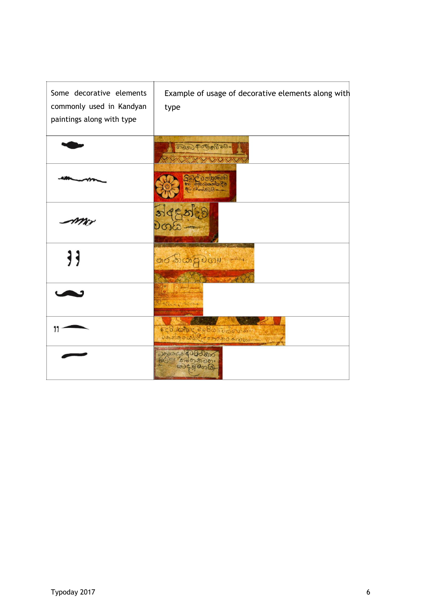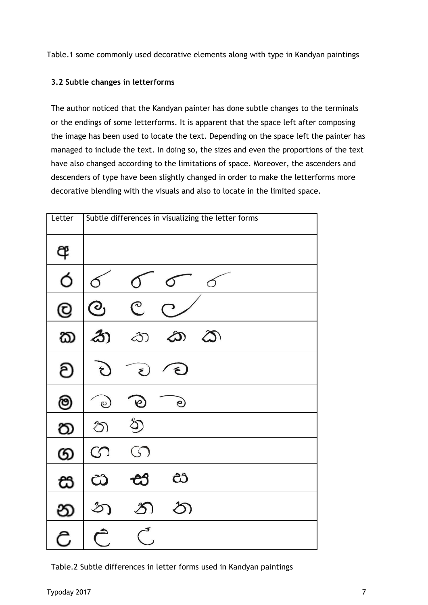Table.1 some commonly used decorative elements along with type in Kandyan paintings

# **3.2 Subtle changes in letterforms**

The author noticed that the Kandyan painter has done subtle changes to the terminals or the endings of some letterforms. It is apparent that the space left after composing the image has been used to locate the text. Depending on the space left the painter has managed to include the text. In doing so, the sizes and even the proportions of the text have also changed according to the limitations of space. Moreover, the ascenders and descenders of type have been slightly changed in order to make the letterforms more decorative blending with the visuals and also to locate in the limited space.

| Letter        | Subtle differences in visualizing the letter forms |                          |            |          |  |
|---------------|----------------------------------------------------|--------------------------|------------|----------|--|
| අ             |                                                    |                          |            |          |  |
| Ó             |                                                    |                          |            |          |  |
| $^\copyright$ | $\bigcirc$                                         | $\overline{\mathcal{C}}$ |            |          |  |
| ක             | $\mathbf{r}$                                       | $\infty$                 | ඨා         | $\infty$ |  |
| ව             | $\mathcal{E}$                                      | $\epsilon$               | $\epsilon$ |          |  |
| ම             | $_{\odot}$                                         | $\mathfrak{C}$           | e          |          |  |
| ත             | න                                                  | z                        |            |          |  |
| ග             | S                                                  | $\circledcirc$           |            |          |  |
| ස             | ඨ                                                  |                          | ඪ          |          |  |
| න             | $\mathcal{Z}$                                      |                          | රි)        |          |  |
| උ             |                                                    |                          |            |          |  |

Table.2 Subtle differences in letter forms used in Kandyan paintings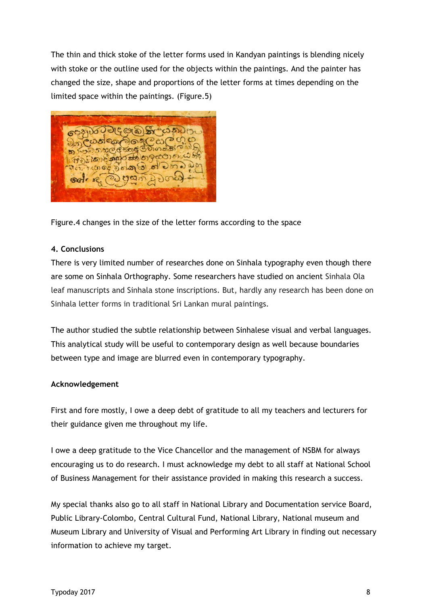The thin and thick stoke of the letter forms used in Kandyan paintings is blending nicely with stoke or the outline used for the objects within the paintings. And the painter has changed the size, shape and proportions of the letter forms at times depending on the limited space within the paintings. (Figure.5)



Figure.4 changes in the size of the letter forms according to the space

#### **4. Conclusions**

There is very limited number of researches done on Sinhala typography even though there are some on Sinhala Orthography. Some researchers have studied on ancient Sinhala Ola leaf manuscripts and Sinhala stone inscriptions. But, hardly any research has been done on Sinhala letter forms in traditional Sri Lankan mural paintings.

The author studied the subtle relationship between Sinhalese visual and verbal languages. This analytical study will be useful to contemporary design as well because boundaries between type and image are blurred even in contemporary typography.

# **Acknowledgement**

First and fore mostly, I owe a deep debt of gratitude to all my teachers and lecturers for their guidance given me throughout my life.

I owe a deep gratitude to the Vice Chancellor and the management of NSBM for always encouraging us to do research. I must acknowledge my debt to all staff at National School of Business Management for their assistance provided in making this research a success.

My special thanks also go to all staff in National Library and Documentation service Board, Public Library-Colombo, Central Cultural Fund, National Library, National museum and Museum Library and University of Visual and Performing Art Library in finding out necessary information to achieve my target.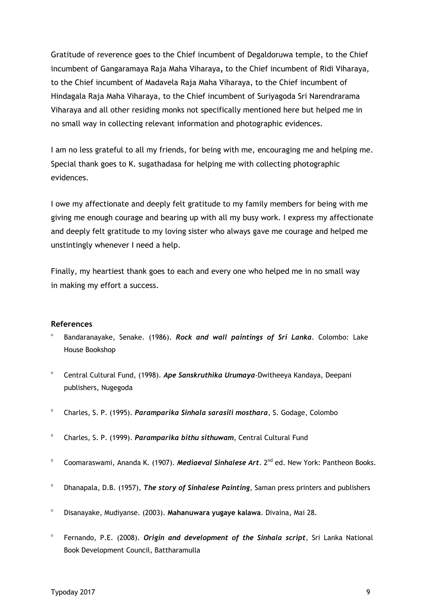Gratitude of reverence goes to the Chief incumbent of Degaldoruwa temple, to the Chief incumbent of Gangaramaya Raja Maha Viharaya*,* to the Chief incumbent of Ridi Viharaya, to the Chief incumbent of Madavela Raja Maha Viharaya, to the Chief incumbent of Hindagala Raja Maha Viharaya, to the Chief incumbent of Suriyagoda Sri Narendrarama Viharaya and all other residing monks not specifically mentioned here but helped me in no small way in collecting relevant information and photographic evidences.

I am no less grateful to all my friends, for being with me, encouraging me and helping me. Special thank goes to K. sugathadasa for helping me with collecting photographic evidences.

I owe my affectionate and deeply felt gratitude to my family members for being with me giving me enough courage and bearing up with all my busy work. I express my affectionate and deeply felt gratitude to my loving sister who always gave me courage and helped me unstintingly whenever I need a help.

Finally, my heartiest thank goes to each and every one who helped me in no small way in making my effort a success.

#### **References**

- Bandaranayake, Senake. (1986). *Rock and wall paintings of Sri Lanka*. Colombo: Lake House Bookshop
- $\Box$ Central Cultural Fund, (1998). *Ape Sanskruthika Urumaya*-Dwitheeya Kandaya, Deepani publishers, Nugegoda
- $\Box$ Charles, S. P. (1995). *Paramparika Sinhala sarasili mosthara*, S. Godage, Colombo
- $\blacksquare$ Charles, S. P. (1999). *Paramparika bithu sithuwam*, Central Cultural Fund
- $\blacksquare$ Coomaraswami, Ananda K. (1907). *Mediaeval Sinhalese Art*. 2<sup>nd</sup> ed. New York: Pantheon Books.
- $\Box$ Dhanapala, D.B. (1957), *The story of Sinhalese Painting*, Saman press printers and publishers
- $\blacksquare$ Disanayake, Mudiyanse. (2003). **Mahanuwara yugaye kalawa**. Divaina, Mai 28.
- $\Box$ Fernando, P.E. (2008). *Origin and development of the Sinhala script*, Sri Lanka National Book Development Council, Battharamulla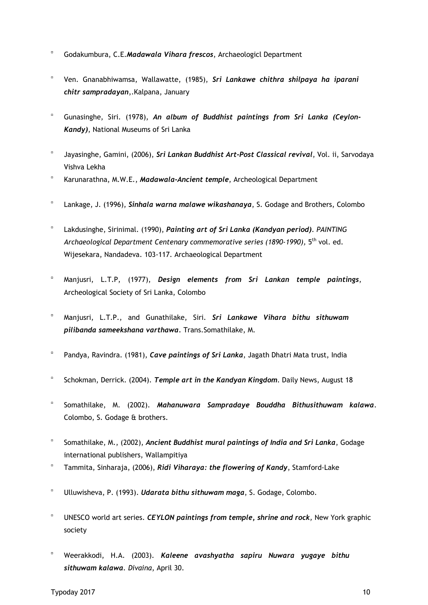- Godakumbura, C.E.*Madawala Vihara frescos*, Archaeologicl Department
- $\mathbf{a}$ Ven. Gnanabhiwamsa, Wallawatte, (1985), *Sri Lankawe chithra shilpaya ha iparani chitr sampradayan*,.Kalpana, January
- $\Box$ Gunasinghe, Siri. (1978), *An album of Buddhist paintings from Sri Lanka (Ceylon-Kandy)*, National Museums of Sri Lanka
- $\alpha$ Jayasinghe, Gamini, (2006), *Sri Lankan Buddhist Art-Post Classical revival*, Vol. ii, Sarvodaya Vishva Lekha
- $\blacksquare$ Karunarathna, M.W.E., *Madawala-Ancient temple*, Archeological Department
- $\Box$ Lankage, J. (1996), *Sinhala warna malawe wikashanaya*, S. Godage and Brothers, Colombo
- $\Box$ Lakdusinghe, Sirinimal. (1990), *Painting art of Sri Lanka (Kandyan period)*. *PAINTING* Archaeological Department Centenary commemorative series (1890-1990), 5<sup>th</sup> vol. ed. Wijesekara, Nandadeva. 103-117. Archaeological Department
- $\alpha$ Manjusri, L.T.P, (1977), *Design elements from Sri Lankan temple paintings*, Archeological Society of Sri Lanka, Colombo
- $\Box$ Manjusri, L.T.P., and Gunathilake, Siri. *Sri Lankawe Vihara bithu sithuwam pilibanda sameekshana varthawa.* Trans.Somathilake, M.
- $\Box$ Pandya, Ravindra. (1981), *Cave paintings of Sri Lanka*, Jagath Dhatri Mata trust, India
- $\Box$ Schokman, Derrick. (2004). *Temple art in the Kandyan Kingdom*. Daily News, August 18
- $\Box$ Somathilake, M. (2002). *Mahanuwara Sampradaye Bouddha Bithusithuwam kalawa*. Colombo, S. Godage & brothers.
- $\alpha$ Somathilake, M., (2002), *Ancient Buddhist mural paintings of India and Sri Lanka*, Godage international publishers, Wallampitiya
- $\blacksquare$ Tammita, Sinharaja, (2006), *Ridi Viharaya: the flowering of Kandy*, Stamford-Lake
- $\Box$ Ulluwisheva, P. (1993). *Udarata bithu sithuwam maga*, S. Godage, Colombo.
- $\blacksquare$ UNESCO world art series. *CEYLON paintings from temple***,** *shrine and rock,* New York graphic society
- $\alpha$ Weerakkodi, H.A. (2003). *Kaleene avashyatha sapiru Nuwara yugaye bithu sithuwam kalawa. Divaina*, April 30.